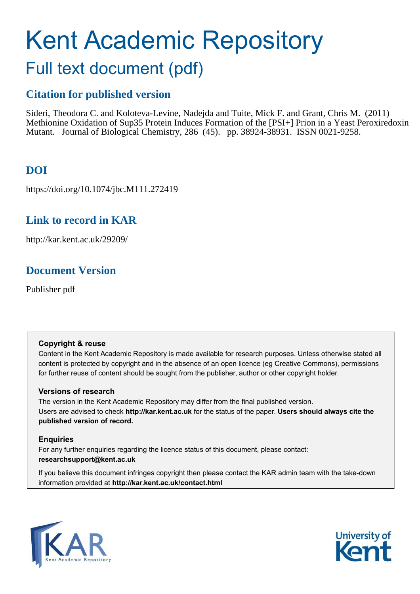# Kent Academic Repository

## Full text document (pdf)

## **Citation for published version**

Sideri, Theodora C. and Koloteva-Levine, Nadejda and Tuite, Mick F. and Grant, Chris M. (2011) Methionine Oxidation of Sup35 Protein Induces Formation of the [PSI+] Prion in a Yeast Peroxiredoxin Mutant. Journal of Biological Chemistry, 286 (45). pp. 38924-38931. ISSN 0021-9258.

## **DOI**

https://doi.org/10.1074/jbc.M111.272419

## **Link to record in KAR**

http://kar.kent.ac.uk/29209/

## **Document Version**

Publisher pdf

#### **Copyright & reuse**

Content in the Kent Academic Repository is made available for research purposes. Unless otherwise stated all content is protected by copyright and in the absence of an open licence (eg Creative Commons), permissions for further reuse of content should be sought from the publisher, author or other copyright holder.

#### **Versions of research**

The version in the Kent Academic Repository may differ from the final published version. Users are advised to check **http://kar.kent.ac.uk** for the status of the paper. **Users should always cite the published version of record.**

#### **Enquiries**

For any further enquiries regarding the licence status of this document, please contact: **researchsupport@kent.ac.uk**

If you believe this document infringes copyright then please contact the KAR admin team with the take-down information provided at **http://kar.kent.ac.uk/contact.html**



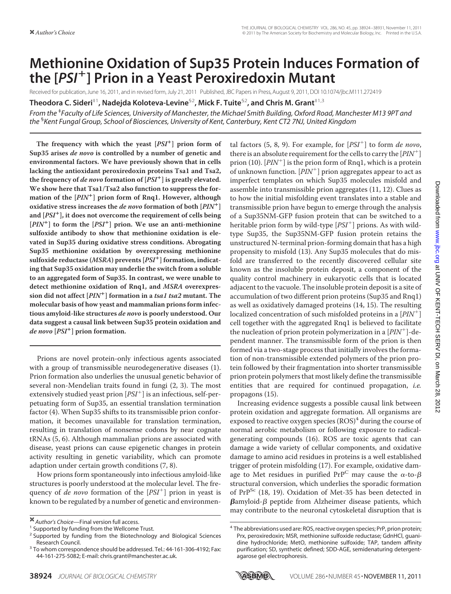## **Methionine Oxidation of Sup35 Protein Induces Formation of the [***PSI* **] Prion in a Yeast Peroxiredoxin Mutant**

Received for publication, June 16, 2011, and in revised form, July 21, 2011 Published, JBC Papers in Press, August 9, 2011, DOI 10.1074/jbc.M111.272419

**Theodora C. Sideri**‡1**, Nadejda Koloteva-Levine**§2**, Mick F. Tuite**§2**, and Chris M. Grant**‡1,3

*From the* ‡ *Faculty of Life Sciences, University of Manchester, the Michael Smith Building, Oxford Road, Manchester M13 9PT and the* § *Kent Fungal Group, School of Biosciences, University of Kent, Canterbury, Kent CT2 7NJ, United Kingdom*

**The frequency with which the yeast [PSI ] prion form of Sup35 arises de novo is controlled by a number of genetic and environmental factors. We have previously shown that in cells lacking the antioxidant peroxiredoxin proteins Tsa1 and Tsa2, the frequency of de novo formation of [PSI ] is greatly elevated. We show here that Tsa1/Tsa2 also function to suppress the formation of the [PIN ] prion form of Rnq1. However, although oxidative stress increases the de novo formation of both [PIN ] and [PSI ], it does not overcome the requirement of cells being [PIN ] to form the [PSI ] prion. We use an anti-methionine sulfoxide antibody to show that methionine oxidation is elevated in Sup35 during oxidative stress conditions. Abrogating Sup35 methionine oxidation by overexpressing methionine sulfoxide reductase (MSRA) prevents [PSI ] formation, indicating that Sup35 oxidation may underlie the switch from a soluble to an aggregated form of Sup35. In contrast, we were unable to detect methionine oxidation of Rnq1, and MSRA overexpression did not affect [PIN ] formation in a tsa1 tsa2 mutant. The molecular basis of how yeast and mammalian prions form infectious amyloid-like structures de novo is poorly understood. Our data suggest a causal link between Sup35 protein oxidation and de novo [PSI ] prion formation.**

Prions are novel protein-only infectious agents associated with a group of transmissible neurodegenerative diseases (1). Prion formation also underlies the unusual genetic behavior of several non-Mendelian traits found in fungi (2, 3). The most extensively studied yeast prion [PSI<sup>+</sup>] is an infectious, self-perpetuating form of Sup35, an essential translation termination factor (4). When Sup35 shifts to its transmissible prion conformation, it becomes unavailable for translation termination, resulting in translation of nonsense codons by near cognate tRNAs (5, 6). Although mammalian prions are associated with disease, yeast prions can cause epigenetic changes in protein activity resulting in genetic variability, which can promote adaption under certain growth conditions (7, 8).

How prions form spontaneously into infectious amyloid-like structures is poorly understood at the molecular level. The frequency of de novo formation of the  $[PSI^+]$  prion in yeast is known to be regulated by a number of genetic and environmental factors  $(5, 8, 9)$ . For example, for  $[PSI<sup>+</sup>]$  to form *de novo*, there is an absolute requirement for the cells to carry the  $[PIN^+]$ prion (10).  $[PIN^+]$  is the prion form of Rnq1, which is a protein of unknown function.  $[PIN^+]$  prion aggregates appear to act as imperfect templates on which Sup35 molecules misfold and assemble into transmissible prion aggregates (11, 12). Clues as to how the initial misfolding event translates into a stable and transmissible prion have begun to emerge through the analysis of a Sup35NM-GFP fusion protein that can be switched to a heritable prion form by wild-type [PSI<sup>+</sup>] prions. As with wildtype Sup35, the Sup35NM-GFP fusion protein retains the unstructured N-terminal prion-forming domain that has a high propensity to misfold (13). Any Sup35 molecules that do misfold are transferred to the recently discovered cellular site known as the insoluble protein deposit, a component of the quality control machinery in eukaryotic cells that is located adjacent to the vacuole. The insoluble protein deposit is a site of accumulation of two different prion proteins (Sup35 and Rnq1) as well as oxidatively damaged proteins (14, 15). The resulting localized concentration of such misfolded proteins in a  $[PIN^+]$ cell together with the aggregated Rnq1 is believed to facilitate the nucleation of prion protein polymerization in a  $[PIN^+]$ -dependent manner. The transmissible form of the prion is then formed via a two-stage process that initially involves the formation of non-transmissible extended polymers of the prion protein followed by their fragmentation into shorter transmissible prion protein polymers that most likely define the transmissible entities that are required for continued propagation, *i.e.* propagons (15).

Increasing evidence suggests a possible causal link between protein oxidation and aggregate formation. All organisms are exposed to reactive oxygen species (ROS)<sup>4</sup> during the course of normal aerobic metabolism or following exposure to radicalgenerating compounds (16). ROS are toxic agents that can damage a wide variety of cellular components, and oxidative damage to amino acid residues in proteins is a well established trigger of protein misfolding (17). For example, oxidative damage to Met residues in purified  $\text{PrP}^{\text{C}}$  may cause the  $\alpha$ -to- $\beta$ structural conversion, which underlies the sporadic formation of PrP<sup>Sc</sup> (18, 19). Oxidation of Met-35 has been detected in  $\boldsymbol{\beta}$ amyloid- $\boldsymbol{\beta}$  peptide from Alzheimer disease patients, which may contribute to the neuronal cytoskeletal disruption that is



*Author's Choice*—Final version full access.

<sup>&</sup>lt;sup>1</sup> Supported by funding from the Wellcome Trust.

<sup>&</sup>lt;sup>2</sup> Supported by funding from the Biotechnology and Biological Sciences Research Council.

<sup>&</sup>lt;sup>3</sup> To whom correspondence should be addressed. Tel.: 44-161-306-4192; Fax: 44-161-275-5082; E-mail: chris.grant@manchester.ac.uk.

<sup>&</sup>lt;sup>4</sup> The abbreviations used are: ROS, reactive oxygen species; PrP, prion protein; Prx, peroxiredoxin; MSR, methionine sulfoxide reductase; GdnHCl, guanidine hydrochloride; MetO, methionine sulfoxide; TAP, tandem affinity purification; SD, synthetic defined; SDD-AGE, semidenaturing detergentagarose gel electrophoresis.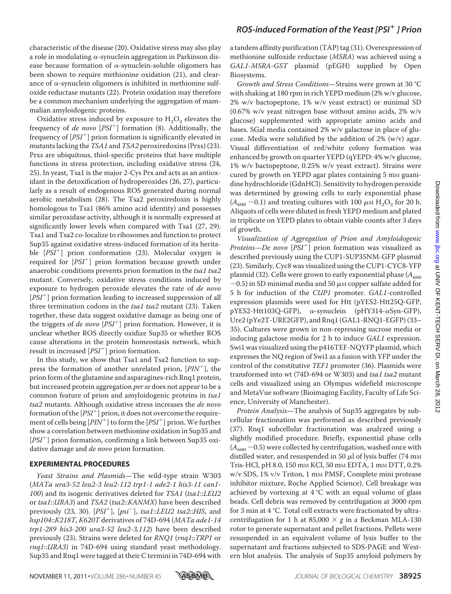characteristic of the disease (20). Oxidative stress may also play a role in modulating  $\alpha$ -synuclein aggregation in Parkinson disease because formation of  $\alpha$ -synuclein-soluble oligomers has been shown to require methionine oxidation (21), and clearance of  $\alpha$ -synuclein oligomers is inhibited in methionine sulfoxide reductase mutants (22). Protein oxidation may therefore be a common mechanism underlying the aggregation of mammalian amyloidogenic proteins.

Oxidative stress induced by exposure to  $H_2O_2$  elevates the frequency of *de novo*  $[PSI^+]$  formation (8). Additionally, the frequency of  $[PSI^+]$  prion formation is significantly elevated in mutants lacking the  $TSA1$  and  $TSA2$  peroxiredoxins (Prxs) (23). Prxs are ubiquitous, thiol-specific proteins that have multiple functions in stress protection, including oxidative stress (24, 25). In yeast, Tsa1 is the major 2-Cys Prx and acts as an antioxidant in the detoxification of hydroperoxides (26, 27), particularly as a result of endogenous ROS generated during normal aerobic metabolism (28). The Tsa2 peroxiredoxin is highly homologous to Tsa1 (86% amino acid identity) and possesses similar peroxidase activity, although it is normally expressed at significantly lower levels when compared with Tsa1 (27, 29). Tsa1 and Tsa2 co-localize to ribosomes and function to protect Sup35 against oxidative stress-induced formation of its heritable [PSI<sup>+</sup>] prion conformation (23). Molecular oxygen is required for [PSI<sup>+</sup>] prion formation because growth under anaerobic conditions prevents prion formation in the tsa1 tsa2 mutant. Conversely, oxidative stress conditions induced by exposure to hydrogen peroxide elevates the rate of de novo  $[PSI<sup>+</sup>]$  prion formation leading to increased suppression of all three termination codons in the *tsa1 tsa2* mutant (23). Taken together, these data suggest oxidative damage as being one of the triggers of de novo  $[PSI^+]$  prion formation. However, it is unclear whether ROS directly oxidize Sup35 or whether ROS cause alterations in the protein homeostasis network, which result in increased  $[PSI^+]$  prion formation.

In this study, we show that Tsa1 and Tsa2 function to suppress the formation of another unrelated prion,  $[PIN^+]$ , the prion form of the glutamine and asparagines-rich Rnq1 protein, but increased protein aggregation per se does not appear to be a common feature of prion and amyloidogenic proteins in tsa1 tsa2 mutants. Although oxidative stress increases the de novo formation of the  $[PSI^+]$  prion, it does not overcome the requirement of cells being  $[PIN^+]$  to form the  $[PSI^+]$  prion. We further show a correlation between methionine oxidation in Sup35 and [PSI<sup>+</sup>] prion formation, confirming a link between Sup35 oxidative damage and *de novo* prion formation.

#### **EXPERIMENTAL PROCEDURES**

Yeast Strains and Plasmids—The wild-type strain W303 (MATa ura3-52 leu2-3 leu2-112 trp1-1 ade2-1 his3-11 can1- 100) and its isogenic derivatives deleted for TSA1 (tsa1::LEU2 or tsa1::URA3) and TSA2 (tsa2::KANMX) have been described previously  $(23, 30)$ .  $[PSI<sup>+</sup>]$ ,  $[psi<sup>-</sup>]$ ,  $tsa1::LEU2$   $tsa2::HIS$ , and hsp104::K218T, K620T derivatives of 74D-694 (MATa ade1-14 trp1-289 his3-200 ura3-52 leu2-3,112) have been described previously (23). Strains were deleted for RNQ1 (rnq1::TRP1 or rnq1::URA3) in 74D-694 using standard yeast methodology. Sup35 and Rnq1 were tagged at their C termini in 74D-694 with

a tandem affinity purification (TAP) tag (31). Overexpression of methionine sulfoxide reductase (MSRA) was achieved using a GAL1-MSRA-GST plasmid (pEGH) supplied by Open Biosystems.

Growth and Stress Conditions—Strains were grown at 30 °C with shaking at 180 rpm in rich YEPD medium (2% w/v glucose, 2% w/v bactopeptone, 1% w/v yeast extract) or minimal SD (0.67% w/v yeast nitrogen base without amino acids, 2% w/v glucose) supplemented with appropriate amino acids and bases. SGal media contained 2% w/v galactose in place of glucose. Media were solidified by the addition of 2% (w/v) agar. Visual differentiation of red/white colony formation was enhanced by growth on quarter YEPD (qYEPD: 4% w/v glucose, 1% w/v bactopeptone, 0.25% w/v yeast extract). Strains were cured by growth on YEPD agar plates containing 5 mm guanidine hydrochloride (GdnHCl). Sensitivity to hydrogen peroxide was determined by growing cells to early exponential phase  $(A_{600} \sim 0.1)$  and treating cultures with 100  $\mu$ <sub>M</sub> H<sub>2</sub>O<sub>2</sub> for 20 h. Aliquots of cells were diluted in fresh YEPD medium and plated in triplicate on YEPD plates to obtain viable counts after 3 days of growth.

Visualization of Aggregation of Prion and Amyloidogenic *Proteins—De novo*  $[PSI^+]$  prion formation was visualized as described previously using the CUP1-SUP35NM-GFP plasmid (23). Similarly, Cyc8 was visualized using the CUP1-CYC8-YFP plasmid (32). Cells were grown to early exponential phase ( $A_{600}$ )  $\sim$ 0.5) in SD minimal media and 50  $\mu$ M copper sulfate added for 5 h for induction of the CUP1 promoter. GAL1-controlled expression plasmids were used for Htt (pYES2-Htt25Q-GFP,  $pYES2-Htt103Q-GFP$ ,  $\alpha$ -synuclein (pHY314- $\alpha$ Syn-GFP), Ure2 (pYe2T-URE2GFP), and Rnq1 (GAL1-RNQ1-EGFP) (33– 35). Cultures were grown in non-repressing sucrose media or inducing galactose media for 2 h to induce GAL1 expression. Swi1 was visualized using the p416TEF-NQYFP plasmid, which expresses the NQ region of Swi1 as a fusion with YFP under the control of the constitutive TEF1 promoter (36). Plasmids were transformed into wt (74D-694 or W303) and tsa1 tsa2 mutant cells and visualized using an Olympus widefield microscope and MetaVue software (Bioimaging Facility, Faculty of Life Science, University of Manchester).

Protein Analysis—The analysis of Sup35 aggregates by subcellular fractionation was performed as described previously (37). Rnq1 subcellular fractionation was analyzed using a slightly modified procedure. Briefly, exponential phase cells  $(A_{600} \sim 0.5)$  were collected by centrifugation, washed once with distilled water, and resuspended in 50  $\mu$ l of lysis buffer (74 mm Tris-HCl, pH 8.0, 150 mM KCl, 50 mM EDTA, 1 mM DTT, 0.2% w/v SDS, 1% v/v Triton, 1 mM PMSF, Complete mini protease inhibitor mixture, Roche Applied Science). Cell breakage was achieved by vortexing at  $4^{\circ}$ C with an equal volume of glass beads. Cell debris was removed by centrifugation at 3000 rpm for 3 min at 4 °C. Total cell extracts were fractionated by ultracentrifugation for 1 h at 85,000  $\times$  g in a Beckman MLA-130 rotor to generate supernatant and pellet fractions. Pellets were resuspended in an equivalent volume of lysis buffer to the supernatant and fractions subjected to SDS-PAGE and Western blot analysis. The analysis of Sup35 amyloid polymers by

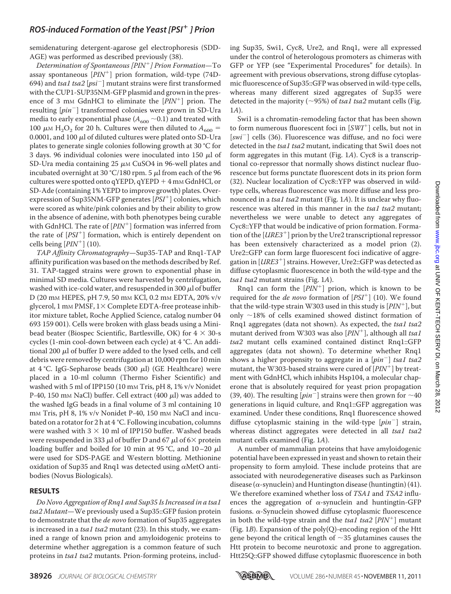semidenaturing detergent-agarose gel electrophoresis (SDD-AGE) was performed as described previously (38).

Determination of Spontaneous [PIN ] Prion Formation—To assay spontaneous  $[PIN^+]$  prion formation, wild-type (74D-694) and tsa1 tsa2  $[psi^-]$  mutant strains were first transformed with the CUP1-SUP35NM-GFP plasmid and grown in the presence of 3 mm GdnHCl to eliminate the  $[PIN^+]$  prion. The resulting [pin<sup>-</sup>] transformed colonies were grown in SD-Ura media to early exponential phase ( $A_{600}$  ~0.1) and treated with 100  $\mu$ M H<sub>2</sub>O<sub>2</sub> for 20 h. Cultures were then diluted to  $A_{600}$  = 0.0001, and 100  $\mu$ l of diluted cultures were plated onto SD-Ura plates to generate single colonies following growth at 30 °C for 3 days. 96 individual colonies were inoculated into 150  $\mu$ l of SD-Ura media containing  $25 \mu M$  CuSO4 in 96-well plates and incubated overnight at 30 °C/180 rpm. 5  $\mu$ l from each of the 96 cultures were spotted onto qYEPD, qYEPD  $+4$  mm GdnHCl, or SD-Ade (containing 1% YEPD to improve growth) plates. Overexpression of Sup35NM-GFP generates [PSI<sup>+</sup>] colonies, which were scored as white/pink colonies and by their ability to grow in the absence of adenine, with both phenotypes being curable with GdnHCl. The rate of  $[PIN^+]$  formation was inferred from the rate of [PSI<sup>+</sup>] formation, which is entirely dependent on cells being  $[PIN^+]$  (10).

TAP Affinity Chromatography—Sup35-TAP and Rnq1-TAP affinity purification was based on the methods described by Ref. 31. TAP-tagged strains were grown to exponential phase in minimal SD media. Cultures were harvested by centrifugation, washed with ice-cold water, and resuspended in 300  $\mu$ l of buffer D (20 mM HEPES, pH 7.9, 50 mM KCl, 0.2 mM EDTA, 20% v/v glycerol, 1 mm PMSF,  $1 \times$  Complete EDTA-free protease inhibitor mixture tablet, Roche Applied Science, catalog number 04 693 159 001). Cells were broken with glass beads using a Minibead beater (Biospec Scientific, Bartlesville, OK) for  $4 \times 30$ -s cycles (1-min cool-down between each cycle) at 4 °C. An additional 200  $\mu$ l of buffer D were added to the lysed cells, and cell debris were removed by centrifugation at 10,000 rpm for 10 min at 4 °C. IgG-Sepharose beads (300  $\mu$ l) (GE Healthcare) were placed in a 10-ml column (Thermo Fisher Scientific) and washed with 5 ml of IPP150 (10 mm Tris, pH 8, 1% v/v Nonidet P-40, 150 mm NaCl) buffer. Cell extract (400  $\mu$ l) was added to the washed IgG beads in a final volume of 3 ml containing 10 mm Tris, pH 8,  $1\%$  v/v Nonidet P-40, 150 mm NaCl and incubated on a rotator for 2 h at 4 °C. Following incubation, columns were washed with  $3 \times 10$  ml of IPP150 buffer. Washed beads were resuspended in 333  $\mu$ l of buffer D and 67  $\mu$ l of 6  $\times$  protein loading buffer and boiled for 10 min at 95 °C, and 10–20  $\mu$ l were used for SDS-PAGE and Western blotting. Methionine oxidation of Sup35 and Rnq1 was detected using  $\alpha$ MetO antibodies (Novus Biologicals).

#### **RESULTS**

Do Novo Aggregation of Rnq1 and Sup35 Is Increased in a tsa1 tsa2 Mutant—We previously used a Sup35::GFP fusion protein to demonstrate that the *de novo* formation of Sup35 aggregates is increased in a tsa1 tsa2 mutant (23). In this study, we examined a range of known prion and amyloidogenic proteins to determine whether aggregation is a common feature of such proteins in tsa1 tsa2 mutants. Prion-forming proteins, including Sup35, Swi1, Cyc8, Ure2, and Rnq1, were all expressed under the control of heterologous promoters as chimeras with GFP or YFP (see "Experimental Procedures" for details). In agreement with previous observations, strong diffuse cytoplasmic fluorescence of Sup35::GFP was observed in wild-type cells, whereas many different sized aggregates of Sup35 were detected in the majority ( $\sim$ 95%) of tsa1 tsa2 mutant cells (Fig. 1A).

Swi1 is a chromatin-remodeling factor that has been shown to form numerous fluorescent foci in [SWI<sup>+</sup>] cells, but not in [swi<sup>-</sup>] cells (36). Fluorescence was diffuse, and no foci were detected in the *tsa1 tsa2* mutant, indicating that Swi1 does not form aggregates in this mutant (Fig. 1A). Cyc8 is a transcriptional co-repressor that normally shows distinct nuclear fluorescence but forms punctate fluorescent dots in its prion form (32). Nuclear localization of Cyc8::YFP was observed in wildtype cells, whereas fluorescence was more diffuse and less pronounced in a *tsa1 tsa2* mutant (Fig. 1A). It is unclear why fluorescence was altered in this manner in the tsa1 tsa2 mutant; nevertheless we were unable to detect any aggregates of Cyc8::YFP that would be indicative of prion formation. Forma- $\frac{1}{10}$  of the  $[URE3^+]$  prion by the Ure2 transcriptional repressor has been extensively characterized as a model prion (2). Ure2::GFP can form large fluorescent foci indicative of aggregation in [*URE3*<sup>+</sup>] strains. However, Ure2::GFP was detected as diffuse cytoplasmic fluorescence in both the wild-type and the tsa1 tsa2 mutant strains (Fig. 1A).

Rnq1 can form the  $\left[PIN^+\right]$  prion, which is known to be required for the *de novo* formation of  $[PSI^+]$  (10). We found that the wild-type strain W303 used in this study is  $[PIN^+]$ , but only  $\sim$ 18% of cells examined showed distinct formation of Rng1 aggregates (data not shown). As expected, the tsa1 tsa2 mutant derived from W303 was also  $[PIN^+]$ , although all tsa1 tsa2 mutant cells examined contained distinct Rnq1::GFP aggregates (data not shown). To determine whether Rnq1 shows a higher propensity to aggregate in a  $[pin^-]$  tsa1 tsa2 mutant, the W303-based strains were cured of  $\left[ P I N^+ \right]$  by treatment with GdnHCl, which inhibits Hsp104, a molecular chaperone that is absolutely required for yeast prion propagation (39, 40). The resulting  $[pin^-]$  strains were then grown for  $\sim$  40 generations in liquid culture, and Rnq1::GFP aggregation was examined. Under these conditions, Rnq1 fluorescence showed diffuse cytoplasmic staining in the wild-type  $[pin^-]$  strain, whereas distinct aggregates were detected in all tsa1 tsa2 mutant cells examined (Fig. 1A).

A number of mammalian proteins that have amyloidogenic potential have been expressed in yeast and shown to retain their propensity to form amyloid. These include proteins that are associated with neurodegenerative diseases such as Parkinson disease ( $\alpha$ -synuclein) and Huntington disease (huntingtin) (41). We therefore examined whether loss of TSA1 and TSA2 influences the aggregation of  $\alpha$ -synuclein and huntingtin-GFP fusions.  $\alpha$ -Synuclein showed diffuse cytoplasmic fluorescence in both the wild-type strain and the tsal tsa2  $[PIN^+]$  mutant (Fig. 1B). Expansion of the poly(Q)-encoding region of the Htt gene beyond the critical length of  $\sim$ 35 glutamines causes the Htt protein to become neurotoxic and prone to aggregation. Htt25Q::GFP showed diffuse cytoplasmic fluorescence in both

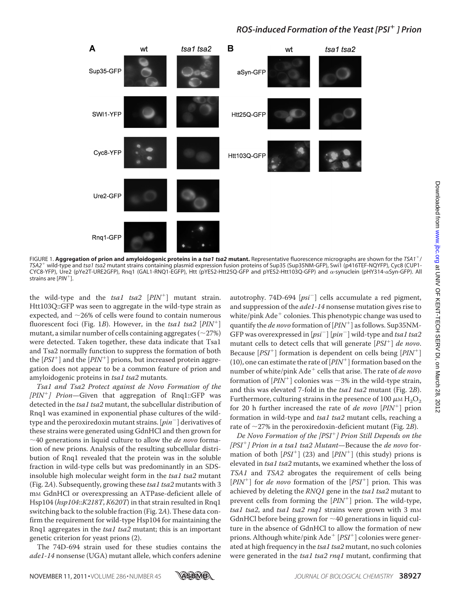

FIGURE 1. **Aggregation of prion and amyloidogenic proteins in a** *tsa1 tsa2* **mutant.** Representative fluorescence micrographs are shown for the *TSA1* / *TSA2* wild-type and *tsa1 tsa2* mutant strains containing plasmid expression fusion proteins of Sup35 (Sup35NM-GFP), Swi1 (p416TEF-NQYFP), Cyc8 (CUP1- CYC8-YFP), Ure2 (pYe2T-URE2GFP), Rnq1 (GAL1-RNQ1-EGFP), Htt (pYES2-Htt25Q-GFP and pYES2-Htt103Q-GFP) and a-synuclein (pHY314-aSyn-GFP). All strains are [*PIN* ].

the wild-type and the  $tsa1$   $tsa2$   $[PIN^+]$  mutant strain. Htt103Q::GFP was seen to aggregate in the wild-type strain as expected, and  $\sim$ 26% of cells were found to contain numerous fluorescent foci (Fig. 1B). However, in the tsa1 tsa2  $[PIN^+]$ mutant, a similar number of cells containing aggregates ( $\sim$ 27%) were detected. Taken together, these data indicate that Tsa1 and Tsa2 normally function to suppress the formation of both the  $[PSI^+]$  and the  $[PIN^+]$  prions, but increased protein aggregation does not appear to be a common feature of prion and amyloidogenic proteins in tsa1 tsa2 mutants.

Tsa1 and Tsa2 Protect against de Novo Formation of the  $[PIN^{+}]$  Prion-Given that aggregation of Rnq1::GFP was detected in the tsa1 tsa2 mutant, the subcellular distribution of Rnq1 was examined in exponential phase cultures of the wildtype and the peroxiredoxin mutant strains. [ $pin^{-}$ ] derivatives of these strains were generated using GdnHCl and then grown for  $\sim$ 40 generations in liquid culture to allow the *de novo* formation of new prions. Analysis of the resulting subcellular distribution of Rnq1 revealed that the protein was in the soluble fraction in wild-type cells but was predominantly in an SDSinsoluble high molecular weight form in the tsa1 tsa2 mutant (Fig. 2A). Subsequently, growing these tsa1 tsa2 mutants with 3 m<sub>M</sub> GdnHCl or overexpressing an ATPase-deficient allele of Hsp104 (hsp104::K218T, K620T) in that strain resulted in Rnq1 switching back to the soluble fraction (Fig. 2A). These data confirm the requirement for wild-type Hsp104 for maintaining the Rnq1 aggregates in the  $tsa1$  tsa2 mutant; this is an important genetic criterion for yeast prions (2).

The 74D-694 strain used for these studies contains the ade1-14 nonsense (UGA) mutant allele, which confers adenine

autotrophy. 74D-694  $[psi^-]$  cells accumulate a red pigment, and suppression of the *ade1-14* nonsense mutation gives rise to white/pink Ade colonies. This phenotypic change was used to quantify the *de novo* formation of  $[PIN^+]$  as follows. Sup35NM-GFP was overexpressed in  $[psi^-]$   $[pin^-]$  wild-type and tsa1 tsa2 mutant cells to detect cells that will generate  $[PSI^+]$  de novo. Because  $[PSI^+]$  formation is dependent on cells being  $[PIN^+]$ (10), one can estimate the rate of  $[PIN^+]$  formation based on the number of white/pink  $A d e^+$  cells that arise. The rate of de novo formation of  $\overline{[PIN^+]}$  colonies was  $\sim$ 3% in the wild-type strain, and this was elevated 7-fold in the tsa1 tsa2 mutant (Fig. 2B). Furthermore, culturing strains in the presence of 100  $\mu$ M H<sub>2</sub>O<sub>2</sub> for 20 h further increased the rate of *de novo*  $[PIN^+]$  prion formation in wild-type and *tsa1 tsa2* mutant cells, reaching a rate of  $\sim$ 27% in the peroxiredoxin-deficient mutant (Fig. 2B).

De Novo Formation of the [PSI ] Prion Still Depends on the [PSI<sup>+</sup>] Prion in a tsa1 tsa2 Mutant—Because the de novo formation of both  $[PSI^+]$  (23) and  $[PIN^+]$  (this study) prions is elevated in tsa1 tsa2 mutants, we examined whether the loss of TSA1 and TSA2 abrogates the requirement of cells being  $[PIN^+]$  for *de novo* formation of the  $[PSI^+]$  prion. This was achieved by deleting the RNQ1 gene in the tsa1 tsa2 mutant to prevent cells from forming the  $[PIN^+]$  prion. The wild-type, tsa1 tsa2, and tsa1 tsa2 rnq1 strains were grown with 3 mM GdnHCl before being grown for  $\sim$  40 generations in liquid culture in the absence of GdnHCl to allow the formation of new prions. Although white/pink  $\rm{Ad} e^+$  [PSI<sup>+</sup>] colonies were generated at high frequency in the tsa1 tsa2 mutant, no such colonies were generated in the tsa1 tsa2 rnq1 mutant, confirming that

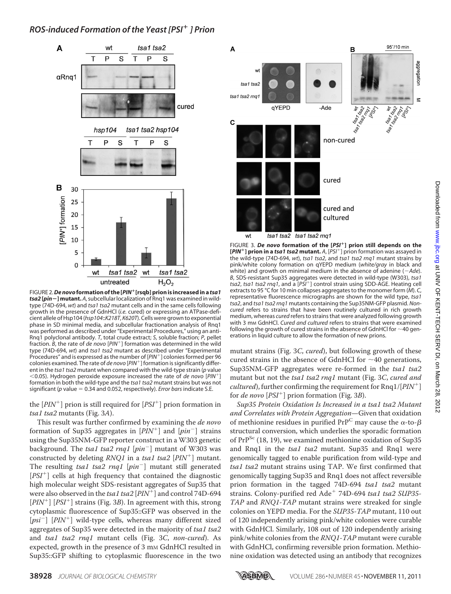

FIGURE 2.*De novo***formation of the [***PIN* **[rsqb] prion is increased in a** *tsa1 tsa2* **[***pin***] mutant.** *A*, subcellular localization of Rnq1 was examined in wildtype (74D-694, *wt*) and *tsa1 tsa2* mutant cells and in the same cells following growth in the presence of GdnHCl (*i.e.* cured) or expressing an ATPase-deficient allele of Hsp104 (*hsp104*::*K218T*, *K620T*). Cells were grown to exponential phase in SD minimal media, and subcellular fractionation analysis of Rnq1 was performed as described under "Experimental Procedures," using an anti-Rnq1 polyclonal antibody. *T*, total crude extract; *S*, soluble fraction; *P*, pellet fraction. *B*, the rate of *de novo* [*PIN* ] formation was determined in the wild type (74D-694, *wt*) and *tsa1 tsa2* mutant as described under "Experimental Procedures" and is expressed as the number of [*PIN* ] colonies formed per 96 colonies examined. The rate of *de novo* [*PIN* ] formation is significantly different in the *tsa1 tsa2* mutant when compared with the wild-type strain (*p* value 0.05). Hydrogen peroxide exposure increased the rate of *de novo* [*PIN* ] formation in both the wild-type and the *tsa1 tsa2* mutant strains but was not significant (*p* value = 0.34 and 0.052, respectively). *Error bars* indicate S.E.

the  $[PIN^+]$  prion is still required for  $[PSI^+]$  prion formation in tsa1 tsa2 mutants (Fig. 3A).

This result was further confirmed by examining the de novo formation of Sup35 aggregates in  $[PIN^+]$  and  $[pin^-]$  strains using the Sup35NM-GFP reporter construct in a W303 genetic background. The tsa1 tsa2 rnq1 [pin<sup>-</sup>] mutant of W303 was constructed by deleting  $RNQ1$  in a tsa1 tsa2  $[PIN^+]$  mutant. The resulting tsa1 tsa2 rnq1 [pin<sup>-</sup>] mutant still generated [PSI<sup>+</sup>] cells at high frequency that contained the diagnostic high molecular weight SDS-resistant aggregates of Sup35 that were also observed in the tsa1 tsa2  $[PIN^+]$  and control 74D-694  $[PIN^+]$   $[PSI^+]$  strains (Fig. 3B). In agreement with this, strong cytoplasmic fluorescence of Sup35::GFP was observed in the [ $psi^{-1}$ ] [PIN<sup>+</sup>] wild-type cells, whereas many different sized aggregates of Sup35 were detected in the majority of tsa1 tsa2 and tsa1 tsa2 rnq1 mutant cells (Fig. 3C, non-cured). As expected, growth in the presence of 3 mm GdnHCl resulted in Sup35::GFP shifting to cytoplasmic fluorescence in the two



FIGURE 3. De novo formation of the [PSI<sup>+</sup>] prion still depends on the **[***PIN* **] prion in a** *tsa1 tsa2* **mutant.** *A*, [*PSI* ] prion formation was assayed in the wild-type (74D-694, *wt*), *tsa1 tsa2*, and *tsa1 tsa2 rnq1* mutant strains by pink/white colony formation on qYEPD medium (*white/gray* in black and white) and growth on minimal medium in the absence of adenine (-*Ade*). *B*, SDS-resistant Sup35 aggregates were detected in wild-type (W303), *tsa1 tsa2*, *tsa1 tsa2 rnq1*, and a [*PSI* ] control strain using SDD-AGE. Heating cell extracts to 95 °C for 10 min collapses aggregates to the monomer form (*M*). *C*, representative fluorescence micrographs are shown for the wild type, *tsa1 tsa2*, and *tsa1 tsa2 rnq1* mutants containing the Sup35NM-GFP plasmid. *Noncured* refers to strains that have been routinely cultured in rich growth medium, whereas *cured* refers to strains that were analyzed following growth with 3 mm GdnHCl. *Cured and cultured refers to strains that were examined* following the growth of cured strains in the absence of GdnHCl for  $\sim$ 40 generations in liquid culture to allow the formation of new prions.

mutant strains (Fig. 3C, cured), but following growth of these cured strains in the absence of GdnHCl for  $\sim$ 40 generations, Sup35NM-GFP aggregates were re-formed in the tsa1 tsa2 mutant but not the tsa1 tsa2 rnq1 mutant (Fig. 3C, cured and *cultured*), further confirming the requirement for  $Rnq1/[PIN^+]$ for *de novo*  $[PSI^+]$  prion formation (Fig. 3B).

Sup35 Protein Oxidation Is Increased in a tsa1 tsa2 Mutant and Correlates with Protein Aggregation—Given that oxidation of methionine residues in purified PrP<sup>C</sup> may cause the  $\alpha$ -to- $\beta$ structural conversion, which underlies the sporadic formation of PrP<sup>Sc</sup> (18, 19), we examined methionine oxidation of Sup35 and Rnq1 in the tsa1 tsa2 mutant. Sup35 and Rnq1 were genomically tagged to enable purification from wild-type and tsa1 tsa2 mutant strains using TAP. We first confirmed that genomically tagging Sup35 and Rnq1 does not affect reversible prion formation in the tagged 74D-694 *tsal tsa2* mutant r<br>strains. Colony-purified red Ade<sup>+</sup> 74D-694 tsa1 tsa2 SUP35-TAP and RNQ1-TAP mutant strains were streaked for single colonies on YEPD media. For the SUP35-TAP mutant, 110 out of 120 independently arising pink/white colonies were curable with GdnHCl. Similarly, 108 out of 120 independently arising pink/white colonies from the RNQ1-TAP mutant were curable with GdnHCl, confirming reversible prion formation. Methionine oxidation was detected using an antibody that recognizes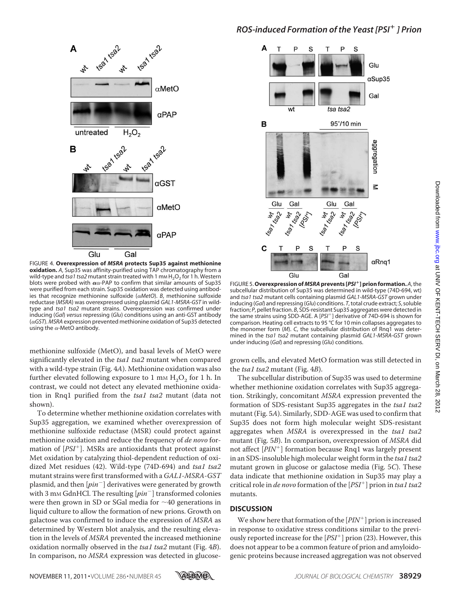

FIGURE 4. **Overexpression of** *MSRA* **protects Sup35 against methionine oxidation.** *A*, Sup35 was affinity-purified using TAP chromatography from a wild-type and *tsa1 tsa2* mutant strain treated with 1 mm H<sub>2</sub>O<sub>2</sub> for 1 h. Western blots were probed with  $\alpha \alpha$ -PAP to confirm that similar amounts of Sup35 were purified from each strain. Sup35 oxidation was detected using antibodies that recognize methionine sulfoxide (*MetO*). *B*, methionine sulfoxide reductase (*MSRA*) was overexpressed using plasmid *GAL1-MSRA-GST* in wildtype and *tsa1 tsa2* mutant strains. Overexpression was confirmed under inducing (*Gal*) *versus* repressing (*Glu*) conditions using an anti-GST antibody (*GST*). *MSRA* expression prevented methionine oxidation of Sup35 detected using the  $\alpha$ -MetO antibody.

methionine sulfoxide (MetO), and basal levels of MetO were significantly elevated in the tsa1 tsa2 mutant when compared with a wild-type strain (Fig. 4A). Methionine oxidation was also further elevated following exposure to  $1 \text{ mm } H_2O_2$  for  $1 \text{ h.}$  In contrast, we could not detect any elevated methionine oxidation in Rnq1 purified from the tsa1 tsa2 mutant (data not shown).

To determine whether methionine oxidation correlates with Sup35 aggregation, we examined whether overexpression of methionine sulfoxide reductase (MSR) could protect against methionine oxidation and reduce the frequency of de novo formation of  $[PSI^+]$ . MSRs are antioxidants that protect against Met oxidation by catalyzing thiol-dependent reduction of oxidized Met residues (42). Wild-type (74D-694) and tsa1 tsa2 mutant strains were first transformed with a GAL1-MSRA-GST plasmid, and then  $[pin^-]$  derivatives were generated by growth with 3 mm GdnHCl. The resulting  $[pin^-]$  transformed colonies were then grown in SD or SGal media for  $\sim$ 40 generations in liquid culture to allow the formation of new prions. Growth on galactose was confirmed to induce the expression of MSRA as determined by Western blot analysis, and the resulting elevation in the levels of MSRA prevented the increased methionine oxidation normally observed in the tsa1 tsa2 mutant (Fig. 4B). In comparison, no MSRA expression was detected in glucose-



FIGURE 5. **Overexpression of** *MSRA***prevents [***PSI* **] prion formation.** *A*, the subcellular distribution of Sup35 was determined in wild-type (74D-694, wt) and *tsa1 tsa2* mutant cells containing plasmid *GAL1-MSRA-GST* grown under inducing (*Gal*) and repressing (*Glu*) conditions. *T*, total crude extract; *S*, soluble fraction; *P*, pellet fraction. *B*, SDS-resistant Sup35 aggregates were detected in the same strains using SDD-AGE. A [*PSI* ] derivative of 74D-694 is shown for comparison. Heating cell extracts to 95 °C for 10 min collapses aggregates to the monomer form (*M*). *C*, the subcellular distribution of Rnq1 was determined in the *tsa1 tsa2* mutant containing plasmid *GAL1-MSRA-GST* grown under inducing (*Gal*) and repressing (*Glu*) conditions.

grown cells, and elevated MetO formation was still detected in the tsa1 tsa2 mutant (Fig. 4B).

The subcellular distribution of Sup35 was used to determine whether methionine oxidation correlates with Sup35 aggregation. Strikingly, concomitant MSRA expression prevented the formation of SDS-resistant Sup35 aggregates in the tsa1 tsa2 mutant (Fig. 5A). Similarly, SDD-AGE was used to confirm that Sup35 does not form high molecular weight SDS-resistant aggregates when MSRA is overexpressed in the tsa1 tsa2 mutant (Fig. 5B). In comparison, overexpression of MSRA did not affect [PIN<sup>+</sup>] formation because Rnq1 was largely present in an SDS-insoluble high molecular weight form in the tsa1 tsa2 mutant grown in glucose or galactose media (Fig. 5C). These data indicate that methionine oxidation in Sup35 may play a critical role in *de novo* formation of the  $[PSI^+]$  prion in tsa1 tsa2 mutants.

#### **DISCUSSION**

We show here that formation of the  $[PIN^+]$  prion is increased in response to oxidative stress conditions similar to the previously reported increase for the  $[PSI^+]$  prion (23). However, this does not appear to be a common feature of prion and amyloidogenic proteins because increased aggregation was not observed

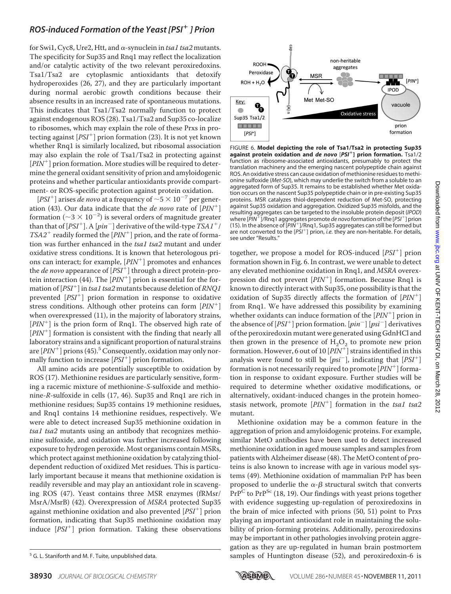for Swi1, Cyc8, Ure2, Htt, and  $\alpha$ -synuclein in tsa1 tsa2 mutants. The specificity for Sup35 and Rnq1 may reflect the localization and/or catalytic activity of the two relevant peroxiredoxins. Tsa1/Tsa2 are cytoplasmic antioxidants that detoxify hydroperoxides (26, 27), and they are particularly important during normal aerobic growth conditions because their absence results in an increased rate of spontaneous mutations. This indicates that Tsa1/Tsa2 normally function to protect against endogenous ROS (28). Tsa1/Tsa2 and Sup35 co-localize to ribosomes, which may explain the role of these Prxs in protecting against  $[PSI<sup>+</sup>]$  prion formation (23). It is not yet known whether Rnq1 is similarly localized, but ribosomal association may also explain the role of Tsa1/Tsa2 in protecting against [PIN<sup>+</sup>] prion formation. More studies will be required to determine the general oxidant sensitivity of prion and amyloidogenic proteins and whether particular antioxidants provide compartment- or ROS-specific protection against protein oxidation.

[PSI<sup>+</sup>] arises de novo at a frequency of  $\sim 5 \times 10^{-7}$  per generation (43). Our data indicate that the *de novo* rate of  $[PIN^+]$ formation ( $\sim$ 3  $\times$  10<sup>-2</sup>) is several orders of magnitude greater than that of [PSI<sup>+</sup>]. A [pin<sup>-</sup>] derivative of the wild-type  $TSAI^+$ /  $TSA2^+$  readily formed the  $[PIN^+]$  prion, and the rate of formation was further enhanced in the tsa1 tsa2 mutant and under oxidative stress conditions. It is known that heterologous prions can interact; for example,  $[PIN^+]$  promotes and enhances the *de novo* appearance of  $[PSI^+]$  through a direct protein-protein interaction (44). The  $[PIN^+]$  prion is essential for the formation of  $[PSI^+]$  in tsa1 tsa2 mutants because deletion of RNQ1 prevented [PSI<sup>+</sup>] prion formation in response to oxidative stress conditions. Although other proteins can form  $[PIN^+]$ when overexpressed (11), in the majority of laboratory strains, [PIN<sup>+</sup>] is the prion form of Rnq1. The observed high rate of  $[PIN^+]$  formation is consistent with the finding that nearly all laboratory strains and a significant proportion of natural strains are  $[PIN^+]$  prions (45).<sup>5</sup> Consequently, oxidation may only normally function to increase  $[PSI^+]$  prion formation.

All amino acids are potentially susceptible to oxidation by ROS (17). Methionine residues are particularly sensitive, forming a racemic mixture of methionine-S-sulfoxide and methionine-R-sulfoxide in cells (17, 46). Sup35 and Rnq1 are rich in methionine residues; Sup35 contains 19 methionine residues, and Rnq1 contains 14 methionine residues, respectively. We were able to detect increased Sup35 methionine oxidation in tsa1 tsa2 mutants using an antibody that recognizes methionine sulfoxide, and oxidation was further increased following exposure to hydrogen peroxide. Most organisms contain MSRs, which protect against methionine oxidation by catalyzing thioldependent reduction of oxidized Met residues. This is particularly important because it means that methionine oxidation is readily reversible and may play an antioxidant role in scavenging ROS (47). Yeast contains three MSR enzymes (fRMsr/ MsrA/MsrB) (42). Overexpression of MSRA protected Sup35 against methionine oxidation and also prevented  $[PSI^+]$  prion formation, indicating that Sup35 methionine oxidation may induce [PSI ] prion formation. Taking these observations



from Rnq1. We have addressed this possibility by examining whether oxidants can induce formation of the  $[PIN^+]$  prion in the absence of  $[PSI^+]$  prion formation.  $[pin^-]$   $[psi^-]$  derivatives of the peroxiredoxin mutant were generated using GdnHCl and then grown in the presence of  $H_2O_2$  to promote new prion formation. However, 6 out of 10  $[PIN^+]$  strains identified in this analysis were found to still be  $[psi^-]$ , indicating that  $[PSI^+]$ formation is not necessarily required to promote  $[PIN^+]$  formation in response to oxidant exposure. Further studies will be required to determine whether oxidative modifications, or alternatively, oxidant-induced changes in the protein homeostasis network, promote  $[PIN^+]$  formation in the tsa1 tsa2 mutant.

Methionine oxidation may be a common feature in the aggregation of prion and amyloidogenic proteins. For example, similar MetO antibodies have been used to detect increased methionine oxidation in aged mouse samples and samples from patients with Alzheimer disease (48). The MetO content of proteins is also known to increase with age in various model systems (49). Methionine oxidation of mammalian PrP has been proposed to underlie the  $\alpha$ - $\beta$  structural switch that converts  $\overline{\mathrm{PrP}^\mathrm{C}}$  to  $\mathrm{PrP}^\mathrm{Sc}$  (18, 19). Our findings with yeast prions together with evidence suggesting up-regulation of peroxiredoxins in the brain of mice infected with prions (50, 51) point to Prxs playing an important antioxidant role in maintaining the solubility of prion-forming proteins. Additionally, peroxiredoxins may be important in other pathologies involving protein aggregation as they are up-regulated in human brain postmortem <sup>5</sup> G. L. Staniforth and M. F. Tuite, unpublished data. Samples of Huntington disease (52), and peroxiredoxin-6 is



FIGURE 6. **Model depicting the role of Tsa1/Tsa2 in protecting Sup35 against protein oxidation and** *de novo* [*PSI* **] prion formation.** Tsa1/2 function as ribosome-associated antioxidants, presumably to protect the translation machinery and the emerging nascent polypeptide chain against ROS. An oxidative stress can cause oxidation of methionine residues to methionine sulfoxide (*Met-SO*), which may underlie the switch from a soluble to an aggregated form of Sup35. It remains to be established whether Met oxidation occurs on the nascent Sup35 polypeptide chain or in pre-existing Sup35 proteins. MSR catalyzes thiol-dependent reduction of Met-SO, protecting against Sup35 oxidation and aggregation. Oxidized Sup35 misfolds, and the resulting aggregates can be targeted to the insoluble protein deposit (*IPOD*) where [*PIN* ]/Rnq1 aggregates promote *de novo* formation of the [*PSI* ] prion (15). In the absence of [*PIN* ]/Rnq1, Sup35 aggregates can still be formed but are not converted to the [*PSI<sup>+</sup>*] prion, *i.e.* they are non-heritable. For details, see under "Results."

together, we propose a model for ROS-induced [PSI<sup>+</sup>] prion formation shown in Fig. 6. In contrast, we were unable to detect any elevated methionine oxidation in Rnq1, and MSRA overex-